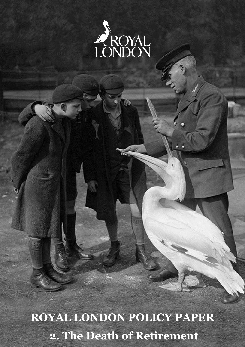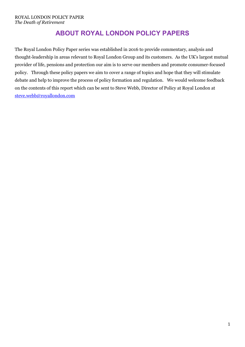# **ABOUT ROYAL LONDON POLICY PAPERS**

The Royal London Policy Paper series was established in 2016 to provide commentary, analysis and thought-leadership in areas relevant to Royal London Group and its customers. As the UK's largest mutual provider of life, pensions and protection our aim is to serve our members and promote consumer-focused policy. Through these policy papers we aim to cover a range of topics and hope that they will stimulate debate and help to improve the process of policy formation and regulation. We would welcome feedback on the contents of this report which can be sent to Steve Webb, Director of Policy at Royal London at [steve.webb@royallondon.com](mailto:steve.webb@royallondon.com)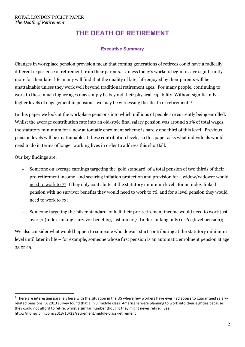# **THE DEATH OF RETIREMENT**

# **Executive Summary**

Changes in workplace pension provision mean that coming generations of retirees could have a radically different experience of retirement from their parents. Unless today's workers begin to save significantly more for their later life, many will find that the quality of later life enjoyed by their parents will be unattainable unless they work well beyond traditional retirement ages. For many people, continuing to work to these much higher ages may simply be beyond their physical capability. Without significantly higher levels of engagement in pensions, we may be witnessing the 'death of retirement'.<sup>1</sup>

In this paper we look at the workplace pensions into which millions of people are currently being enrolled. Whilst the average contribution rate into an old-style final salary pension was around 20% of total wages, the statutory minimum for a new automatic enrolment scheme is barely one third of this level. Previous pension levels will be unattainable at these contribution levels, so this paper asks what individuals would need to do in terms of longer working lives in order to address this shortfall.

Our key findings are:

- Someone on average earnings targeting the 'gold standard' of a total pension of two thirds of their pre-retirement income, and securing inflation protection and provision for a widow/widower would need to work to 77 if they only contribute at the statutory minimum level; for an index-linked pension with no survivor benefits they would need to work to 76, and for a level pension they would need to work to 73;
- Someone targeting the 'silver standard' of half their pre-retirement income would need to work just over 71 (index-linking, survivor benefits), just under 71 (index-linking only) or 67 (level pension);

We also consider what would happen to someone who doesn't start contributing at the statutory minimum level until later in life – for example, someone whose first pension is an automatic enrolment pension at age 35 or 45.

<sup>1</sup>  $^1$  There are interesting parallels here with the situation in the US where few workers have ever had access to guaranteed salaryrelated pensions. A 2013 survey found that 1 in 3 'middle class' Americans were planning to work into their eighties because they could not afford to retire, whilst a similar number thought they might never retire. See: http://money.cnn.com/2013/10/23/retirement/middle-class-retirement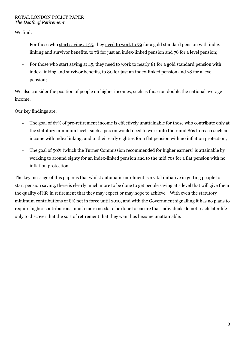We find:

- For those who start saving at 35, they need to work to 79 for a gold standard pension with indexlinking and survivor benefits, to 78 for just an index-linked pension and 76 for a level pension;
- For those who start saving at 45, they need to work to nearly 81 for a gold standard pension with index-linking and survivor benefits, to 80 for just an index-linked pension and 78 for a level pension;

We also consider the position of people on higher incomes, such as those on double the national average income.

Our key findings are:

- The goal of 67% of pre-retirement income is effectively unattainable for those who contribute only at the statutory minimum level; such a person would need to work into their mid 80s to reach such an income with index linking, and to their early eighties for a flat pension with no inflation protection;
- The goal of 50% (which the Turner Commission recommended for higher earners) is attainable by working to around eighty for an index-linked pension and to the mid 70s for a flat pension with no inflation protection.

The key message of this paper is that whilst automatic enrolment is a vital initiative in getting people to start pension saving, there is clearly much more to be done to get people saving at a level that will give them the quality of life in retirement that they may expect or may hope to achieve. With even the statutory minimum contributions of 8% not in force until 2019, and with the Government signalling it has no plans to require higher contributions, much more needs to be done to ensure that individuals do not reach later life only to discover that the sort of retirement that they want has become unattainable.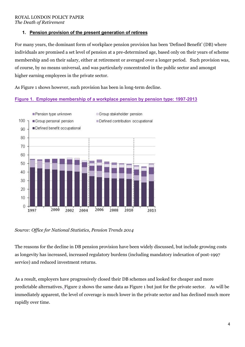# **1. Pension provision of the present generation of retirees**

For many years, the dominant form of workplace pension provision has been 'Defined Benefit' (DB) where individuals are promised a set level of pension at a pre-determined age, based only on their years of scheme membership and on their salary, either at retirement or averaged over a longer period. Such provision was, of course, by no means universal, and was particularly concentrated in the public sector and amongst higher earning employees in the private sector.

As Figure 1 shows however, such provision has been in long-term decline.

# **Figure 1. Employee membership of a workplace pension by pension type: 1997-2013**



*Source: Office for National Statistics, Pension Trends 2014*

The reasons for the decline in DB pension provision have been widely discussed, but include growing costs as longevity has increased, increased regulatory burdens (including mandatory indexation of post-1997 service) and reduced investment returns.

As a result, employers have progressively closed their DB schemes and looked for cheaper and more predictable alternatives. Figure 2 shows the same data as Figure 1 but just for the private sector. As will be immediately apparent, the level of coverage is much lower in the private sector and has declined much more rapidly over time.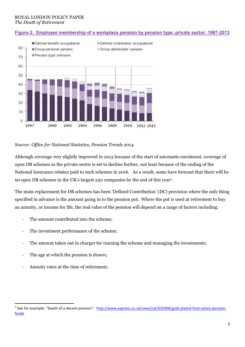### **Figure 2. Employee membership of a workplace pension by pension type, private sector: 1997-2013**



### *Source: Office for National Statistics, Pension Trends 2014*

Although coverage very slightly improved in 2013 because of the start of automatic enrolment, coverage of open DB schemes in the private sector is set to decline further, not least because of the ending of the National Insurance rebates paid to such schemes in 2016. As a result, some have forecast that there will be no open DB schemes in the UK's largest 250 companies by the end of this year<sup>2</sup>.

The main replacement for DB schemes has been 'Defined Contribution' (DC) provision where the only thing specified in advance is the amount going in to the pension pot. Where the pot is used at retirement to buy an annuity, or income for life, the real value of the pension will depend on a range of factors including:

- The amount contributed into the scheme:
- The investment performance of the scheme;
- The amount taken out in charges for running the scheme and managing the investments;
- The age at which the pension is drawn;
- Annuity rates at the time of retirement;

 $\overline{a}$ 

<sup>&</sup>lt;sup>2</sup> See for example: "Death of a decent pension": [http://www.express.co.uk/news/uk/635906/gold-plated-final-salary-pension](http://www.express.co.uk/news/uk/635906/gold-plated-final-salary-pension-funds)[funds](http://www.express.co.uk/news/uk/635906/gold-plated-final-salary-pension-funds)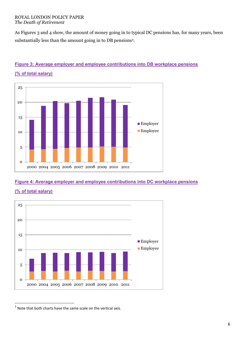As Figures 3 and 4 show, the amount of money going in to typical DC pensions has, for many years, been substantially less than the amount going in to DB pensions<sup>3</sup> .



# **Figure 3: Average employer and employee contributions into DB workplace pensions**

**(% of total salary)**

# **Figure 4: Average employer and employee contributions into DC workplace pensions**



**(% of total salary)**

1

 $3$  Note that both charts have the same scale on the vertical axis.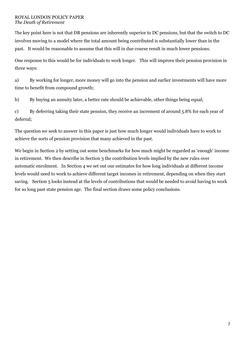The key point here is not that DB pensions are inherently superior to DC pensions, but that the switch to DC involves moving to a model where the total amount being contributed is substantially lower than in the past. It would be reasonable to assume that this will in due course result in much lower pensions.

One response to this would be for individuals to work longer. This will improve their pension provision in three ways:

a) By working for longer, more money will go into the pension and earlier investments will have more time to benefit from compound growth;

b) By buying an annuity later, a better rate should be achievable, other things being equal;

c) By deferring taking their state pension, they receive an increment of around 5.8% for each year of deferral;

The question we seek to answer in this paper is just how much longer would individuals have to work to achieve the sorts of pension provision that many achieved in the past.

We begin in Section 2 by setting out some benchmarks for how much might be regarded as 'enough' income in retirement. We then describe in Section 3 the contribution levels implied by the new rules over automatic enrolment. In Section 4 we set out our estimates for how long individuals at different income levels would need to work to achieve different target incomes in retirement, depending on when they start saving. Section 5 looks instead at the levels of contributions that would be needed to avoid having to work for so long past state pension age. The final section draws some policy conclusions.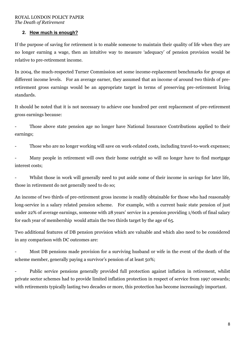## **2. How much is enough?**

If the purpose of saving for retirement is to enable someone to maintain their quality of life when they are no longer earning a wage, then an intuitive way to measure 'adequacy' of pension provision would be relative to pre-retirement income.

In 2004, the much-respected Turner Commission set some income-replacement benchmarks for groups at different income levels. For an average earner, they assumed that an income of around two thirds of preretirement gross earnings would be an appropriate target in terms of preserving pre-retirement living standards.

It should be noted that it is not necessary to achieve one hundred per cent replacement of pre-retirement gross earnings because:

Those above state pension age no longer have National Insurance Contributions applied to their earnings;

Those who are no longer working will save on work-related costs, including travel-to-work expenses;

- Many people in retirement will own their home outright so will no longer have to find mortgage interest costs;

Whilst those in work will generally need to put aside some of their income in savings for later life, those in retirement do not generally need to do so;

An income of two thirds of pre-retirement gross income is readily obtainable for those who had reasonably long-service in a salary related pension scheme. For example, with a current basic state pension of just under 22% of average earnings, someone with 28 years' service in a pension providing 1/60th of final salary for each year of membership would attain the two thirds target by the age of 65.

Two additional features of DB pension provision which are valuable and which also need to be considered in any comparison with DC outcomes are:

- Most DB pensions made provision for a surviving husband or wife in the event of the death of the scheme member, generally paying a survivor's pension of at least 50%;

- Public service pensions generally provided full protection against inflation in retirement, whilst private sector schemes had to provide limited inflation protection in respect of service from 1997 onwards; with retirements typically lasting two decades or more, this protection has become increasingly important.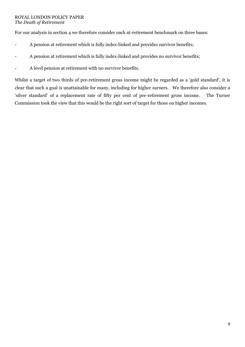For our analysis in section 4 we therefore consider each at-retirement benchmark on three bases:

- A pension at retirement which is fully index-linked and provides survivor benefits;
- A pension at retirement which is fully index-linked and provides no survivor benefits;
- A level pension at retirement with no survivor benefits.

Whilst a target of two thirds of pre-retirement gross income might be regarded as a 'gold standard', it is clear that such a goal is unattainable for many, including for higher earners. We therefore also consider a 'silver standard' of a replacement rate of fifty per cent of pre-retirement gross income. The Turner Commission took the view that this would be the right sort of target for those on higher incomes.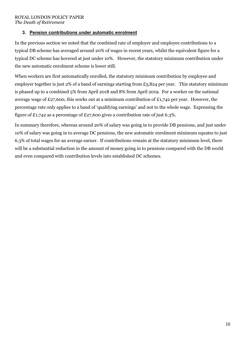## **3. Pension contributions under automatic enrolment**

In the previous section we noted that the combined rate of employer and employee contributions to a typical DB scheme has averaged around 20% of wages in recent years, whilst the equivalent figure for a typical DC scheme has hovered at just under 10%. However, the statutory minimum contribution under the new automatic enrolment scheme is lower still.

When workers are first automatically enrolled, the statutory minimum contribution by employee and employer together is just 2% of a band of earnings starting from £5,824 per year. This statutory minimum is phased up to a combined 5% from April 2018 and 8% from April 2019. For a worker on the national average wage of £27,600, this works out at a minimum contribution of £1,742 per year. However, the percentage rate only applies to a band of 'qualifying earnings' and not to the whole wage. Expressing the figure of £1,742 as a percentage of £27,600 gives a contribution rate of just 6.3%.

In summary therefore, whereas around 20% of salary was going in to provide DB pensions, and just under 10% of salary was going in to average DC pensions, the new automatic enrolment minimum equates to just 6.3% of total wages for an average earner. If contributions remain at the statutory minimum level, there will be a substantial reduction in the amount of money going in to pensions compared with the DB world and even compared with contribution levels into established DC schemes.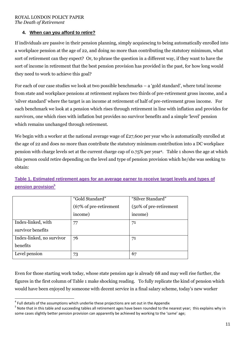# **4. When can you afford to retire?**

If individuals are passive in their pension planning, simply acquiescing to being automatically enrolled into a workplace pension at the age of 22, and doing no more than contributing the statutory minimum, what sort of retirement can they expect? Or, to phrase the question in a different way, if they want to have the sort of income in retirement that the best pension provision has provided in the past, for how long would they need to work to achieve this goal?

For each of our case studies we look at two possible benchmarks – a 'gold standard', where total income from state and workplace pensions at retirement replaces two thirds of pre-retirement gross income, and a 'silver standard' where the target is an income at retirement of half of pre-retirement gross income. For each benchmark we look at a pension which rises through retirement in line with inflation and provides for survivors, one which rises with inflation but provides no survivor benefits and a simple 'level' pension which remains unchanged through retirement.

We begin with a worker at the national average wage of £27,600 per year who is automatically enrolled at the age of 22 and does no more than contribute the statutory minimum contribution into a DC workplace pension with charge levels set at the current charge cap of 0.75% per year<sup>4</sup> . Table 1 shows the age at which this person could retire depending on the level and type of pension provision which he/she was seeking to obtain:

# **Table 1. Estimated retirement ages for an average earner to receive target levels and types of pension provision<sup>5</sup>**

|                           | "Gold Standard"        | "Silver Standard"      |  |
|---------------------------|------------------------|------------------------|--|
|                           | (67% of pre-retirement | (50% of pre-retirement |  |
|                           | income)                | income)                |  |
| Index-linked, with        | 77                     | 71                     |  |
| survivor benefits         |                        |                        |  |
| Index-linked, no survivor | 76                     | 71                     |  |
| benefits                  |                        |                        |  |
| Level pension             | 73                     | 67                     |  |

Even for those starting work today, whose state pension age is already 68 and may well rise further, the figures in the first column of Table 1 make shocking reading. To fully replicate the kind of pension which would have been enjoyed by someone with decent service in a final salary scheme, today's new worker

 4 Full details of the assumptions which underlie these projections are set out in the Appendix

<sup>&</sup>lt;sup>5</sup> Note that in this table and succeeding tables all retirement ages have been rounded to the nearest year; this explains why in some cases slightly better pension provision can apparently be achieved by working to the 'same' age;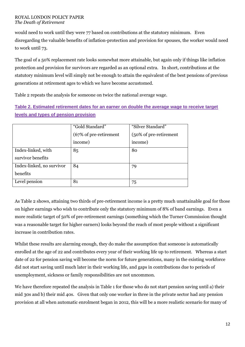would need to work until they were 77 based on contributions at the statutory minimum. Even disregarding the valuable benefits of inflation-protection and provision for spouses, the worker would need to work until 73.

The goal of a 50% replacement rate looks somewhat more attainable, but again only if things like inflation protection and provision for survivors are regarded as an optional extra. In short, contributions at the statutory minimum level will simply not be enough to attain the equivalent of the best pensions of previous generations at retirement ages to which we have become accustomed.

Table 2 repeats the analysis for someone on twice the national average wage.

# **Table 2. Estimated retirement dates for an earner on double the average wage to receive target levels and types of pension provision**

|                           | "Gold Standard"        | "Silver Standard"      |  |
|---------------------------|------------------------|------------------------|--|
|                           | (67% of pre-retirement | (50% of pre-retirement |  |
|                           | income)                | income)                |  |
| Index-linked, with        | 85                     | 80                     |  |
| survivor benefits         |                        |                        |  |
| Index-linked, no survivor | 84                     | 79                     |  |
| benefits                  |                        |                        |  |
| Level pension             | 81                     | 75                     |  |

As Table 2 shows, attaining two thirds of pre-retirement income is a pretty much unattainable goal for those on higher earnings who wish to contribute only the statutory minimum of 8% of band earnings. Even a more realistic target of 50% of pre-retirement earnings (something which the Turner Commission thought was a reasonable target for higher earners) looks beyond the reach of most people without a significant increase in contribution rates.

Whilst these results are alarming enough, they do make the assumption that someone is automatically enrolled at the age of 22 and contributes every year of their working life up to retirement. Whereas a start date of 22 for pension saving will become the norm for future generations, many in the existing workforce did not start saving until much later in their working life, and gaps in contributions due to periods of unemployment, sickness or family responsibilities are not uncommon.

We have therefore repeated the analysis in Table 1 for those who do not start pension saving until a) their mid 30s and b) their mid 40s. Given that only one worker in three in the private sector had any pension provision at all when automatic enrolment began in 2012, this will be a more realistic scenario for many of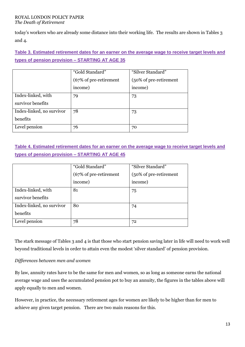today's workers who are already some distance into their working life. The results are shown in Tables 3 and 4.

# **Table 3. Estimated retirement dates for an earner on the average wage to receive target levels and types of pension provision – STARTING AT AGE 35**

|                           | "Gold Standard"        | "Silver Standard"      |  |
|---------------------------|------------------------|------------------------|--|
|                           | (67% of pre-retirement | (50% of pre-retirement |  |
|                           | income)                | income)                |  |
| Index-linked, with        | 79                     | 73                     |  |
| survivor benefits         |                        |                        |  |
| Index-linked, no survivor | 78                     | 73                     |  |
| benefits                  |                        |                        |  |
| Level pension             | 76                     | 70                     |  |

# **Table 4. Estimated retirement dates for an earner on the average wage to receive target levels and types of pension provision – STARTING AT AGE 45**

|                           | "Gold Standard"        | "Silver Standard"      |  |
|---------------------------|------------------------|------------------------|--|
|                           | (67% of pre-retirement | (50% of pre-retirement |  |
|                           | income)                | income)                |  |
| Index-linked, with        | 81                     | 75                     |  |
| survivor benefits         |                        |                        |  |
| Index-linked, no survivor | 80                     | 74                     |  |
| benefits                  |                        |                        |  |
| Level pension             | 78                     | 72                     |  |

The stark message of Tables 3 and 4 is that those who start pension saving later in life will need to work well beyond traditional levels in order to attain even the modest 'silver standard' of pension provision.

# *Differences between men and women*

By law, annuity rates have to be the same for men and women, so as long as someone earns the national average wage and uses the accumulated pension pot to buy an annuity, the figures in the tables above will apply equally to men and women.

However, in practice, the necessary retirement ages for women are likely to be higher than for men to achieve any given target pension. There are two main reasons for this.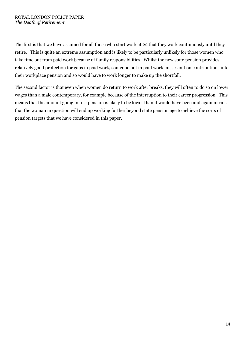The first is that we have assumed for all those who start work at 22 that they work continuously until they retire. This is quite an extreme assumption and is likely to be particularly unlikely for those women who take time out from paid work because of family responsibilities. Whilst the new state pension provides relatively good protection for gaps in paid work, someone not in paid work misses out on contributions into their workplace pension and so would have to work longer to make up the shortfall.

The second factor is that even when women do return to work after breaks, they will often to do so on lower wages than a male contemporary, for example because of the interruption to their career progression. This means that the amount going in to a pension is likely to be lower than it would have been and again means that the woman in question will end up working further beyond state pension age to achieve the sorts of pension targets that we have considered in this paper.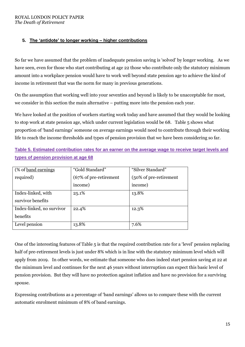# **5. The 'antidote' to longer working – higher contributions**

So far we have assumed that the problem of inadequate pension saving is 'solved' by longer working. As we have seen, even for those who start contributing at age 22 those who contribute only the statutory minimum amount into a workplace pension would have to work well beyond state pension age to achieve the kind of income in retirement that was the norm for many in previous generations.

On the assumption that working well into your seventies and beyond is likely to be unacceptable for most, we consider in this section the main alternative – putting more into the pension each year.

We have looked at the position of workers starting work today and have assumed that they would be looking to stop work at state pension age, which under current legislation would be 68. Table 5 shows what proportion of 'band earnings' someone on average earnings would need to contribute through their working life to reach the income thresholds and types of pension provision that we have been considering so far.

|  |                                      |  |  | Table 5. Estimated contribution rates for an earner on the average wage to receive target levels and |  |
|--|--------------------------------------|--|--|------------------------------------------------------------------------------------------------------|--|
|  | types of pension provision at age 68 |  |  |                                                                                                      |  |

| (% of <u>band earnings</u> | "Gold Standard"        | "Silver Standard"      |
|----------------------------|------------------------|------------------------|
| required)                  | (67% of pre-retirement | (50% of pre-retirement |
|                            | income)                | income)                |
| Index-linked, with         | 25.1%                  | 13.8%                  |
| survivor benefits          |                        |                        |
| Index-linked, no survivor  | 22.4%                  | 12.3%                  |
| benefits                   |                        |                        |
| Level pension              | 13.8%                  | 7.6%                   |

One of the interesting features of Table 5 is that the required contribution rate for a 'level' pension replacing half of pre-retirement levels is just under 8% which is in line with the statutory minimum level which will apply from 2019. In other words, we estimate that someone who does indeed start pension saving at 22 at the minimum level and continues for the next 46 years without interruption can expect this basic level of pension provision. But they will have no protection against inflation and have no provision for a surviving spouse.

Expressing contributions as a percentage of 'band earnings' allows us to compare these with the current automatic enrolment minimum of 8% of band earnings.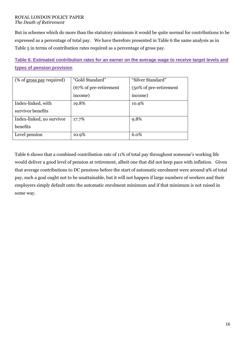But in schemes which do more than the statutory minimum it would be quite normal for contributions to be expressed as a percentage of total pay. We have therefore presented in Table 6 the same analysis as in Table 5 in terms of contribution rates required as a percentage of gross pay.

**Table 6. Estimated contribution rates for an earner on the average wage to receive target levels and types of pension provision**

| (% of gross pay required) | "Gold Standard"        | "Silver Standard"      |
|---------------------------|------------------------|------------------------|
|                           | (67% of pre-retirement | (50% of pre-retirement |
|                           | income)                | income)                |
| Index-linked, with        | 19.8%                  | 10.9%                  |
| survivor benefits         |                        |                        |
| Index-linked, no survivor | 17.7%                  | 9.8%                   |
| benefits                  |                        |                        |
| Level pension             | 10.9%                  | 6.0%                   |

Table 6 shows that a combined contribution rate of 11% of total pay throughout someone's working life would deliver a good level of pension at retirement, albeit one that did not keep pace with inflation. Given that average contributions to DC pensions before the start of automatic enrolment were around 9% of total pay, such a goal ought not to be unattainable, but it will not happen if large numbers of workers and their employers simply default onto the automatic enrolment minimum and if that minimum is not raised in some way.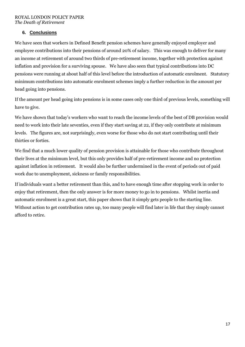# **6. Conclusions**

We have seen that workers in Defined Benefit pension schemes have generally enjoyed employer and employee contributions into their pensions of around 20% of salary. This was enough to deliver for many an income at retirement of around two thirds of pre-retirement income, together with protection against inflation and provision for a surviving spouse. We have also seen that typical contributions into DC pensions were running at about half of this level before the introduction of automatic enrolment. Statutory minimum contributions into automatic enrolment schemes imply a further reduction in the amount per head going into pensions.

If the amount per head going into pensions is in some cases only one third of previous levels, something will have to give.

We have shown that today's workers who want to reach the income levels of the best of DB provision would need to work into their late seventies, even if they start saving at 22, if they only contribute at minimum levels. The figures are, not surprisingly, even worse for those who do not start contributing until their thirties or forties.

We find that a much lower quality of pension provision is attainable for those who contribute throughout their lives at the minimum level, but this only provides half of pre-retirement income and no protection against inflation in retirement. It would also be further undermined in the event of periods out of paid work due to unemployment, sickness or family responsibilities.

If individuals want a better retirement than this, and to have enough time after stopping work in order to enjoy that retirement, then the only answer is for more money to go in to pensions. Whilst inertia and automatic enrolment is a great start, this paper shows that it simply gets people to the starting line. Without action to get contribution rates up, too many people will find later in life that they simply cannot afford to retire.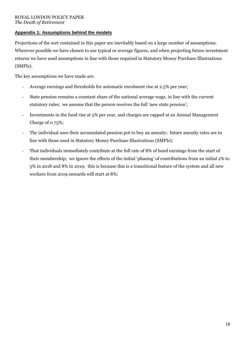# **Appendix 1: Assumptions behind the models**

Projections of the sort contained in this paper are inevitably based on a large number of assumptions. Wherever possible we have chosen to use typical or average figures, and when projecting future investment returns we have used assumptions in line with those required in Statutory Money Purchase Illustrations (SMPIs).

The key assumptions we have made are:

- Average earnings and thresholds for automatic enrolment rise at 2.5% per year;
- State pension remains a constant share of the national average wage, in line with the current statutory rules; we assume that the person receives the full 'new state pension';
- Investments in the fund rise at 5% per year, and charges are capped at an Annual Management Charge of 0.75%;
- The individual uses their accumulated pension pot to buy an annuity; future annuity rates are in line with those used in Statutory Money Purchase Illustrations (SMPIs);
- That individuals immediately contribute at the full rate of 8% of band earnings from the start of their membership; we ignore the effects of the initial 'phasing' of contributions from an initial 2% to 5% in 2018 and 8% in 2019; this is because this is a transitional feature of the system and all new workers from 2019 onwards will start at 8%;